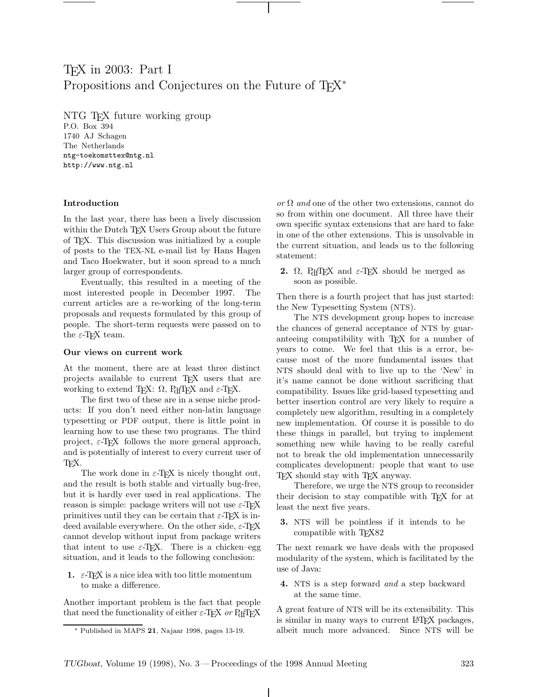# TEX in 2003: Part I Propositions and Conjectures on the Future of T<sub>F</sub>X<sup>∗</sup>

NTG TEX future working group P.O. Box 394 1740 AJ Schagen The Netherlands ntg-toekomsttex@ntg.nl http://www.ntg.nl

### **Introduction**

In the last year, there has been a lively discussion within the Dutch T<sub>EX</sub> Users Group about the future of TEX. This discussion was initialized by a couple of posts to the TEX-NL e-mail list by Hans Hagen and Taco Hoekwater, but it soon spread to a much larger group of correspondents.

Eventually, this resulted in a meeting of the most interested people in December 1997. The current articles are a re-working of the long-term proposals and requests formulated by this group of people. The short-term requests were passed on to the  $\varepsilon\text{-}\text{TeX}$  team.

#### **Our views on current work**

At the moment, there are at least three distinct projects available to current TEX users that are working to extend TEX:  $\Omega$ , PdfTEX and  $\varepsilon$ -TEX.

The first two of these are in a sense niche products: If you don't need either non-latin language typesetting or PDF output, there is little point in learning how to use these two programs. The third project,  $\varepsilon$ -T<sub>E</sub>X follows the more general approach, and is potentially of interest to every current user of T<sub>F</sub>X.

The work done in  $\varepsilon$ -T<sub>F</sub>X is nicely thought out, and the result is both stable and virtually bug-free, but it is hardly ever used in real applications. The reason is simple: package writers will not use  $\varepsilon$ -TEX primitives until they can be certain that  $\varepsilon$ -TEX is indeed available everywhere. On the other side,  $\varepsilon$ -T<sub>E</sub>X cannot develop without input from package writers that intent to use  $\varepsilon$ -T<sub>E</sub>X. There is a chicken–egg situation, and it leads to the following conclusion:

**1.**  $\varepsilon$ -T<sub>E</sub>X is a nice idea with too little momentum to make a difference.

Another important problem is the fact that people that need the functionality of either  $\varepsilon$ -TEX or PdfTEX

or  $\Omega$  and one of the other two extensions, cannot do so from within one document. All three have their own specific syntax extensions that are hard to fake in one of the other extensions. This is unsolvable in the current situation, and leads us to the following statement:

**2.**  $\Omega$ , PdfTEX and  $\varepsilon$ -TEX should be merged as soon as possible.

Then there is a fourth project that has just started: the New Typesetting System (NTS).

The NTS development group hopes to increase the chances of general acceptance of NTS by guaranteeing compatibility with T<sub>E</sub>X for a number of years to come. We feel that this is a error, because most of the more fundamental issues that NTS should deal with to live up to the 'New' in it's name cannot be done without sacrificing that compatibility. Issues like grid-based typesetting and better insertion control are very likely to require a completely new algorithm, resulting in a completely new implementation. Of course it is possible to do these things in parallel, but trying to implement something new while having to be really careful not to break the old implementation unnecessarily complicates development: people that want to use TEX should stay with TEX anyway.

Therefore, we urge the NTS group to reconsider their decision to stay compatible with TEX for at least the next five years.

**3.** NTS will be pointless if it intends to be compatible with TEX82

The next remark we have deals with the proposed modularity of the system, which is facilitated by the use of Java:

**4.** NTS is a step forward and a step backward at the same time.

A great feature of NTS will be its extensibility. This is similar in many ways to current LATEX packages, albeit much more advanced. Since NTS will be

<sup>∗</sup> Published in MAPS **21**, Najaar 1998, pages 13-19.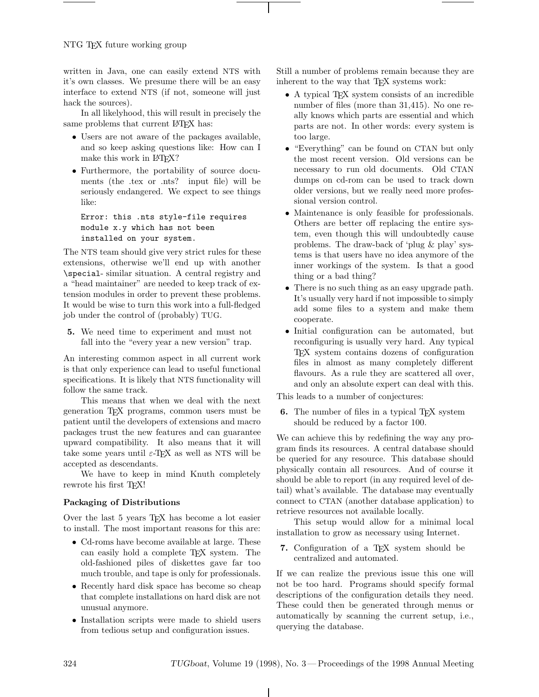NTG TEX future working group

written in Java, one can easily extend NTS with it's own classes. We presume there will be an easy interface to extend NTS (if not, someone will just hack the sources).

In all likelyhood, this will result in precisely the same problems that current LAT<sub>E</sub>X has:

- Users are not aware of the packages available, and so keep asking questions like: How can I make this work in LAT<sub>EX</sub>?
- Furthermore, the portability of source documents (the .tex or .nts? input file) will be seriously endangered. We expect to see things like:

Error: this .nts style-file requires module x.y which has not been installed on your system.

The NTS team should give very strict rules for these extensions, otherwise we'll end up with another \special- similar situation. A central registry and a "head maintainer" are needed to keep track of extension modules in order to prevent these problems. It would be wise to turn this work into a full-fledged job under the control of (probably) TUG.

**5.** We need time to experiment and must not fall into the "every year a new version" trap.

An interesting common aspect in all current work is that only experience can lead to useful functional specifications. It is likely that NTS functionality will follow the same track.

This means that when we deal with the next generation TEX programs, common users must be patient until the developers of extensions and macro packages trust the new features and can guarantee upward compatibility. It also means that it will take some years until  $\varepsilon$ -T<sub>E</sub>X as well as NTS will be accepted as descendants.

We have to keep in mind Knuth completely rewrote his first T<sub>F</sub>X!

# **Packaging of Distributions**

Over the last 5 years TEX has become a lot easier to install. The most important reasons for this are:

- Cd-roms have become available at large. These can easily hold a complete TEX system. The old-fashioned piles of diskettes gave far too much trouble, and tape is only for professionals.
- Recently hard disk space has become so cheap that complete installations on hard disk are not unusual anymore.
- Installation scripts were made to shield users from tedious setup and configuration issues.

Still a number of problems remain because they are inherent to the way that T<sub>EX</sub> systems work:

- A typical T<sub>F</sub>X system consists of an incredible number of files (more than 31,415). No one really knows which parts are essential and which parts are not. In other words: every system is too large.
- "Everything" can be found on CTAN but only the most recent version. Old versions can be necessary to run old documents. Old CTAN dumps on cd-rom can be used to track down older versions, but we really need more professional version control.
- Maintenance is only feasible for professionals. Others are better off replacing the entire system, even though this will undoubtedly cause problems. The draw-back of 'plug & play' systems is that users have no idea anymore of the inner workings of the system. Is that a good thing or a bad thing?
- There is no such thing as an easy upgrade path. It's usually very hard if not impossible to simply add some files to a system and make them cooperate.
- Initial configuration can be automated, but reconfiguring is usually very hard. Any typical TEX system contains dozens of configuration files in almost as many completely different flavours. As a rule they are scattered all over, and only an absolute expert can deal with this.

This leads to a number of conjectures:

**6.** The number of files in a typical TEX system should be reduced by a factor 100.

We can achieve this by redefining the way any program finds its resources. A central database should be queried for any resource. This database should physically contain all resources. And of course it should be able to report (in any required level of detail) what's available. The database may eventually connect to CTAN (another database application) to retrieve resources not available locally.

This setup would allow for a minimal local installation to grow as necessary using Internet.

7. Configuration of a T<sub>E</sub>X system should be centralized and automated.

If we can realize the previous issue this one will not be too hard. Programs should specify formal descriptions of the configuration details they need. These could then be generated through menus or automatically by scanning the current setup, i.e., querying the database.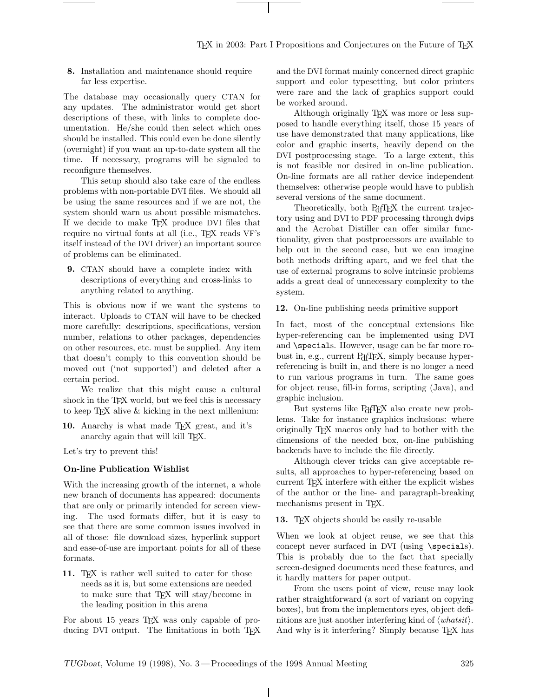**8.** Installation and maintenance should require far less expertise.

The database may occasionally query CTAN for any updates. The administrator would get short descriptions of these, with links to complete documentation. He/she could then select which ones should be installed. This could even be done silently (overnight) if you want an up-to-date system all the time. If necessary, programs will be signaled to reconfigure themselves.

This setup should also take care of the endless problems with non-portable DVI files. We should all be using the same resources and if we are not, the system should warn us about possible mismatches. If we decide to make TEX produce DVI files that require no virtual fonts at all (i.e., T<sub>EX</sub> reads VF's itself instead of the DVI driver) an important source of problems can be eliminated.

**9.** CTAN should have a complete index with descriptions of everything and cross-links to anything related to anything.

This is obvious now if we want the systems to interact. Uploads to CTAN will have to be checked more carefully: descriptions, specifications, version number, relations to other packages, dependencies on other resources, etc. must be supplied. Any item that doesn't comply to this convention should be moved out ('not supported') and deleted after a certain period.

We realize that this might cause a cultural shock in the TEX world, but we feel this is necessary to keep  $T_{\text{E}}X$  alive  $\&$  kicking in the next millenium:

**10.** Anarchy is what made TEX great, and it's anarchy again that will kill TEX.

Let's try to prevent this!

## **On-line Publication Wishlist**

With the increasing growth of the internet, a whole new branch of documents has appeared: documents that are only or primarily intended for screen viewing. The used formats differ, but it is easy to see that there are some common issues involved in all of those: file download sizes, hyperlink support and ease-of-use are important points for all of these formats.

**11.** T<sub>EX</sub> is rather well suited to cater for those needs as it is, but some extensions are needed to make sure that TEX will stay/become in the leading position in this arena

For about 15 years TEX was only capable of producing DVI output. The limitations in both TFX and the DVI format mainly concerned direct graphic support and color typesetting, but color printers were rare and the lack of graphics support could be worked around.

Although originally T<sub>EX</sub> was more or less supposed to handle everything itself, those 15 years of use have demonstrated that many applications, like color and graphic inserts, heavily depend on the DVI postprocessing stage. To a large extent, this is not feasible nor desired in on-line publication. On-line formats are all rather device independent themselves: otherwise people would have to publish several versions of the same document.

Theoretically, both PdfTEX the current trajectory using and DVI to PDF processing through dvips and the Acrobat Distiller can offer similar functionality, given that postprocessors are available to help out in the second case, but we can imagine both methods drifting apart, and we feel that the use of external programs to solve intrinsic problems adds a great deal of unnecessary complexity to the system.

**12.** On-line publishing needs primitive support

In fact, most of the conceptual extensions like hyper-referencing can be implemented using DVI and \specials. However, usage can be far more robust in, e.g., current PdfTEX, simply because hyperreferencing is built in, and there is no longer a need to run various programs in turn. The same goes for object reuse, fill-in forms, scripting (Java), and graphic inclusion.

But systems like PdfTEX also create new problems. Take for instance graphics inclusions: where originally TEX macros only had to bother with the dimensions of the needed box, on-line publishing backends have to include the file directly.

Although clever tricks can give acceptable results, all approaches to hyper-referencing based on current TEX interfere with either the explicit wishes of the author or the line- and paragraph-breaking mechanisms present in T<sub>E</sub>X.

**13.** T<sub>E</sub>X objects should be easily re-usable

When we look at object reuse, we see that this concept never surfaced in DVI (using \specials). This is probably due to the fact that specially screen-designed documents need these features, and it hardly matters for paper output.

From the users point of view, reuse may look rather straightforward (a sort of variant on copying boxes), but from the implementors eyes, object definitions are just another interfering kind of  $\langle \textit{whatsit} \rangle$ . And why is it interfering? Simply because T<sub>EX</sub> has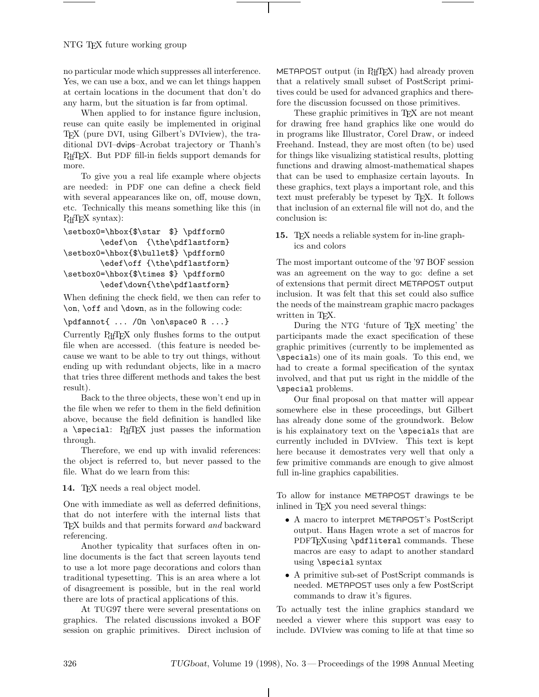no particular mode which suppresses all interference. Yes, we can use a box, and we can let things happen at certain locations in the document that don't do any harm, but the situation is far from optimal.

When applied to for instance figure inclusion, reuse can quite easily be implemented in original TEX (pure DVI, using Gilbert's DVIview), the traditional DVI–dvips–Acrobat trajectory or Thanh's P<sub>df</sub>T<sub>E</sub>X. But PDF fill-in fields support demands for more.

To give you a real life example where objects are needed: in PDF one can define a check field with several appearances like on, off, mouse down, etc. Technically this means something like this (in P<sub>df</sub>T<sub>E</sub>X syntax):

```
\setbox0=\hbox{$\star $} \pdfform0
       \edef\on {\the\pdflastform}
\setbox0=\hbox{$\bullet$} \pdfform0
       \edef\off {\the\pdflastform}
\setbox0=\hbox{$\times $} \pdfform0
       \edef\down{\the\pdflastform}
```
When defining the check field, we then can refer to \on, \off and \down, as in the following code:

\pdfannot{ ... /On \on\space0 R ...}

Currently PdfTEX only flushes forms to the output file when are accessed. (this feature is needed because we want to be able to try out things, without ending up with redundant objects, like in a macro that tries three different methods and takes the best result).

Back to the three objects, these won't end up in the file when we refer to them in the field definition above, because the field definition is handled like a \special: PdfTEX just passes the information through.

Therefore, we end up with invalid references: the object is referred to, but never passed to the file. What do we learn from this:

14. TEX needs a real object model.

One with immediate as well as deferred definitions, that do not interfere with the internal lists that TEX builds and that permits forward and backward referencing.

Another typicality that surfaces often in online documents is the fact that screen layouts tend to use a lot more page decorations and colors than traditional typesetting. This is an area where a lot of disagreement is possible, but in the real world there are lots of practical applications of this.

At TUG97 there were several presentations on graphics. The related discussions invoked a BOF session on graphic primitives. Direct inclusion of METAPOST output (in PdfTEX) had already proven that a relatively small subset of PostScript primitives could be used for advanced graphics and therefore the discussion focussed on those primitives.

These graphic primitives in T<sub>E</sub>X are not meant for drawing free hand graphics like one would do in programs like Illustrator, Corel Draw, or indeed Freehand. Instead, they are most often (to be) used for things like visualizing statistical results, plotting functions and drawing almost-mathematical shapes that can be used to emphasize certain layouts. In these graphics, text plays a important role, and this text must preferably be typeset by TEX. It follows that inclusion of an external file will not do, and the conclusion is:

**15.** TEX needs a reliable system for in-line graphics and colors

The most important outcome of the '97 BOF session was an agreement on the way to go: define a set of extensions that permit direct METAPOST output inclusion. It was felt that this set could also suffice the needs of the mainstream graphic macro packages written in TEX.

During the NTG 'future of T<sub>F</sub>X meeting' the participants made the exact specification of these graphic primitives (currently to be implemented as \specials) one of its main goals. To this end, we had to create a formal specification of the syntax involved, and that put us right in the middle of the \special problems.

Our final proposal on that matter will appear somewhere else in these proceedings, but Gilbert has already done some of the groundwork. Below is his explainatory text on the \specials that are currently included in DVIview. This text is kept here because it demostrates very well that only a few primitive commands are enough to give almost full in-line graphics capabilities.

To allow for instance METAPOST drawings te be inlined in TEX you need several things:

- A macro to interpret METAPOST's PostScript output. Hans Hagen wrote a set of macros for PDFT<sub>F</sub>Xusing \pdfliteral commands. These macros are easy to adapt to another standard using \special syntax
- A primitive sub-set of PostScript commands is needed. METAPOST uses only a few PostScript commands to draw it's figures.

To actually test the inline graphics standard we needed a viewer where this support was easy to include. DVIview was coming to life at that time so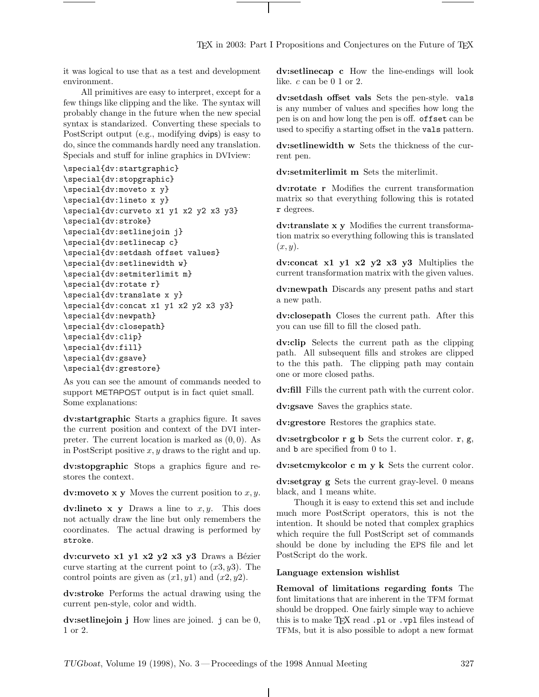it was logical to use that as a test and development environment.

All primitives are easy to interpret, except for a few things like clipping and the like. The syntax will probably change in the future when the new special syntax is standarized. Converting these specials to PostScript output (e.g., modifying dvips) is easy to do, since the commands hardly need any translation. Specials and stuff for inline graphics in DVIview:

```
\special{dv:startgraphic}
```

```
\special{dv:stopgraphic}
\special{dv:moveto x y}
\special{dv:lineto x y}
\special{dv:curveto x1 y1 x2 y2 x3 y3}
\special{dv:stroke}
\special{dv:setlinejoin j}
\special{dv:setlinecap c}
\special{dv:setdash offset values}
\special{dv:setlinewidth w}
\special{dv:setmiterlimit m}
\special{dv:rotate r}
\special{dv:translate x y}
\special{dv:concat x1 y1 x2 y2 x3 y3}
\special{dv:newpath}
\special{dv:closepath}
\special{dv:clip}
\special{dv:fill}
\special{dv:gsave}
\special{dv:grestore}
```
As you can see the amount of commands needed to support METAPOST output is in fact quiet small. Some explanations:

**dv:startgraphic** Starts a graphics figure. It saves the current position and context of the DVI interpreter. The current location is marked as  $(0, 0)$ . As in PostScript positive  $x, y$  draws to the right and up.

**dv:stopgraphic** Stops a graphics figure and restores the context.

**dv:moveto x y** Moves the current position to  $x, y$ .

**dv:lineto x y** Draws a line to  $x, y$ . This does not actually draw the line but only remembers the coordinates. The actual drawing is performed by stroke.

dv:curveto x1 y1 x2 y2 x3 y3 Draws a Bézier curve starting at the current point to  $(x3, y3)$ . The control points are given as  $(x1, y1)$  and  $(x2, y2)$ .

**dv:stroke** Performs the actual drawing using the current pen-style, color and width.

**dv:setlinejoin j** How lines are joined. j can be 0, 1 or 2.

**dv:setlinecap c** How the line-endings will look like.  $c \text{ can be } 0 \text{ 1 or } 2$ .

**dv:setdash offset vals** Sets the pen-style. vals is any number of values and specifies how long the pen is on and how long the pen is off. offset can be used to specifiy a starting offset in the vals pattern.

**dv:setlinewidth w** Sets the thickness of the current pen.

**dv:setmiterlimit m** Sets the miterlimit.

**dv:rotate r** Modifies the current transformation matrix so that everything following this is rotated r degrees.

**dv:translate x y** Modifies the current transformation matrix so everything following this is translated  $(x, y)$ .

**dv:concat x1 y1 x2 y2 x3 y3** Multiplies the current transformation matrix with the given values.

**dv:newpath** Discards any present paths and start a new path.

**dv:closepath** Closes the current path. After this you can use fill to fill the closed path.

**dv:clip** Selects the current path as the clipping path. All subsequent fills and strokes are clipped to the this path. The clipping path may contain one or more closed paths.

**dv:fill** Fills the current path with the current color.

**dv:gsave** Saves the graphics state.

**dv:grestore** Restores the graphics state.

**dv:setrgbcolor r g b** Sets the current color. r, g, and b are specified from 0 to 1.

**dv:setcmykcolor c m y k** Sets the current color.

**dv:setgray g** Sets the current gray-level. 0 means black, and 1 means white.

Though it is easy to extend this set and include much more PostScript operators, this is not the intention. It should be noted that complex graphics which require the full PostScript set of commands should be done by including the EPS file and let PostScript do the work.

#### **Language extension wishlist**

**Removal of limitations regarding fonts** The font limitations that are inherent in the TFM format should be dropped. One fairly simple way to achieve this is to make TEX read .pl or .vpl files instead of TFMs, but it is also possible to adopt a new format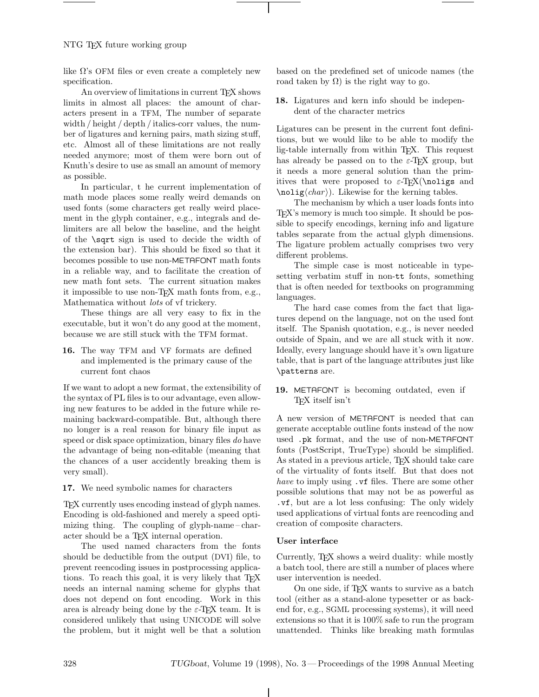like  $\Omega$ 's OFM files or even create a completely new specification.

An overview of limitations in current T<sub>E</sub>X shows limits in almost all places: the amount of characters present in a TFM, The number of separate width / height / depth / italics-corr values, the number of ligatures and kerning pairs, math sizing stuff, etc. Almost all of these limitations are not really needed anymore; most of them were born out of Knuth's desire to use as small an amount of memory as possible.

In particular, t he current implementation of math mode places some really weird demands on used fonts (some characters get really weird placement in the glyph container, e.g., integrals and delimiters are all below the baseline, and the height of the \sqrt sign is used to decide the width of the extension bar). This should be fixed so that it becomes possible to use non-METAFONT math fonts in a reliable way, and to facilitate the creation of new math font sets. The current situation makes it impossible to use non-TEX math fonts from, e.g., Mathematica without lots of vf trickery.

These things are all very easy to fix in the executable, but it won't do any good at the moment, because we are still stuck with the TFM format.

**16.** The way TFM and VF formats are defined and implemented is the primary cause of the current font chaos

If we want to adopt a new format, the extensibility of the syntax of PL files is to our advantage, even allowing new features to be added in the future while remaining backward-compatible. But, although there no longer is a real reason for binary file input as speed or disk space optimization, binary files do have the advantage of being non-editable (meaning that the chances of a user accidently breaking them is very small).

**17.** We need symbolic names for characters

TEX currently uses encoding instead of glyph names. Encoding is old-fashioned and merely a speed optimizing thing. The coupling of glyph-name– character should be a T<sub>E</sub>X internal operation.

The used named characters from the fonts should be deductible from the output (DVI) file, to prevent reencoding issues in postprocessing applications. To reach this goal, it is very likely that TFX needs an internal naming scheme for glyphs that does not depend on font encoding. Work in this area is already being done by the  $\varepsilon$ -TEX team. It is considered unlikely that using UNICODE will solve the problem, but it might well be that a solution based on the predefined set of unicode names (the road taken by  $\Omega$ ) is the right way to go.

**18.** Ligatures and kern info should be independent of the character metrics

Ligatures can be present in the current font definitions, but we would like to be able to modify the lig-table internally from within TEX. This request has already be passed on to the  $\varepsilon$ -T<sub>F</sub>X group, but it needs a more general solution than the primitives that were proposed to  $\varepsilon$ -T<sub>F</sub>X(\noligs and  $\n\Delta \cdot \langle char \rangle$ . Likewise for the kerning tables.

The mechanism by which a user loads fonts into TEX's memory is much too simple. It should be possible to specify encodings, kerning info and ligature tables separate from the actual glyph dimensions. The ligature problem actually comprises two very different problems.

The simple case is most noticeable in typesetting verbatim stuff in non-tt fonts, something that is often needed for textbooks on programming languages.

The hard case comes from the fact that ligatures depend on the language, not on the used font itself. The Spanish quotation, e.g., is never needed outside of Spain, and we are all stuck with it now. Ideally, every language should have it's own ligature table, that is part of the language attributes just like \patterns are.

## **19.** METAFONT is becoming outdated, even if TEX itself isn't

A new version of METAFONT is needed that can generate acceptable outline fonts instead of the now used .pk format, and the use of non-METAFONT fonts (PostScript, TrueType) should be simplified. As stated in a previous article, TEX should take care of the virtuality of fonts itself. But that does not have to imply using  $\cdot$  vf files. There are some other possible solutions that may not be as powerful as .vf, but are a lot less confusing: The only widely used applications of virtual fonts are reencoding and creation of composite characters.

## **User interface**

Currently, TEX shows a weird duality: while mostly a batch tool, there are still a number of places where user intervention is needed.

On one side, if TEX wants to survive as a batch tool (either as a stand-alone typesetter or as backend for, e.g., SGML processing systems), it will need extensions so that it is 100% safe to run the program unattended. Thinks like breaking math formulas